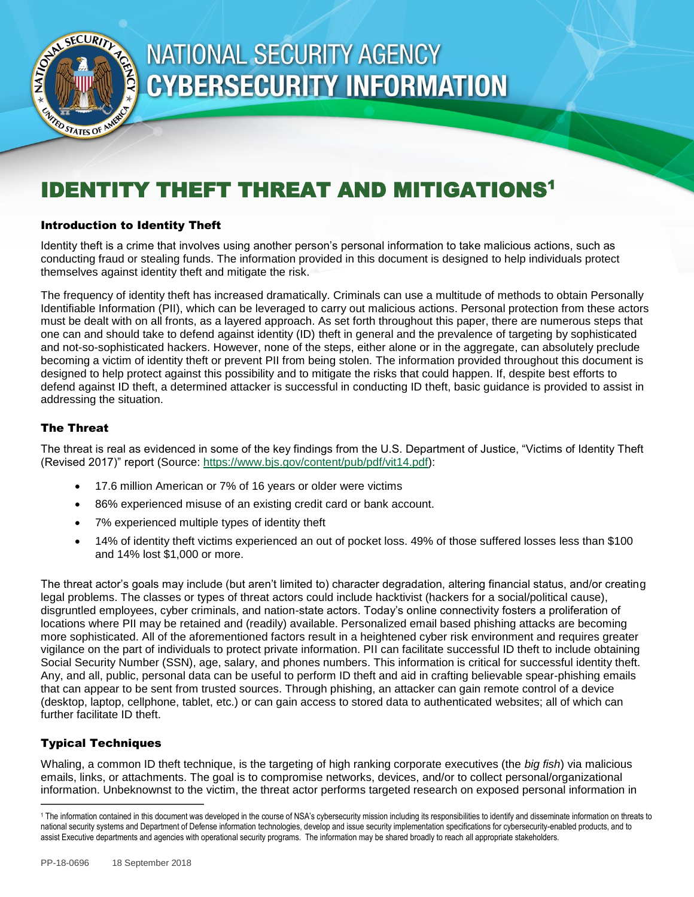

# **NATIONAL SECURITY AGENCY CYBERSECURITY INFORMATION**

# IDENTITY THEFT THREAT AND MITIGATIONS<sup>1</sup>

#### Introduction to Identity Theft

Identity theft is a crime that involves using another person's personal information to take malicious actions, such as conducting fraud or stealing funds. The information provided in this document is designed to help individuals protect themselves against identity theft and mitigate the risk.

The frequency of identity theft has increased dramatically. Criminals can use a multitude of methods to obtain Personally Identifiable Information (PII), which can be leveraged to carry out malicious actions. Personal protection from these actors must be dealt with on all fronts, as a layered approach. As set forth throughout this paper, there are numerous steps that one can and should take to defend against identity (ID) theft in general and the prevalence of targeting by sophisticated and not-so-sophisticated hackers. However, none of the steps, either alone or in the aggregate, can absolutely preclude becoming a victim of identity theft or prevent PII from being stolen. The information provided throughout this document is designed to help protect against this possibility and to mitigate the risks that could happen. If, despite best efforts to defend against ID theft, a determined attacker is successful in conducting ID theft, basic guidance is provided to assist in addressing the situation.

#### The Threat

The threat is real as evidenced in some of the key findings from the U.S. Department of Justice, "Victims of Identity Theft (Revised 2017)" report (Source: https://www.bjs.gov/content/pub/pdf/vit14.pdf):

- 17.6 million American or 7% of 16 years or older were victims
- 86% experienced misuse of an existing credit card or bank account.
- 7% experienced multiple types of identity theft
- 14% of identity theft victims experienced an out of pocket loss. 49% of those suffered losses less than \$100 and 14% lost \$1,000 or more.

The threat actor's goals may include (but aren't limited to) character degradation, altering financial status, and/or creating legal problems. The classes or types of threat actors could include hacktivist (hackers for a social/political cause), disgruntled employees, cyber criminals, and nation-state actors. Today's online connectivity fosters a proliferation of locations where PII may be retained and (readily) available. Personalized email based phishing attacks are becoming more sophisticated. All of the aforementioned factors result in a heightened cyber risk environment and requires greater vigilance on the part of individuals to protect private information. PII can facilitate successful ID theft to include obtaining Social Security Number (SSN), age, salary, and phones numbers. This information is critical for successful identity theft. Any, and all, public, personal data can be useful to perform ID theft and aid in crafting believable spear-phishing emails that can appear to be sent from trusted sources. Through phishing, an attacker can gain remote control of a device (desktop, laptop, cellphone, tablet, etc.) or can gain access to stored data to authenticated websites; all of which can further facilitate ID theft.

#### Typical Techniques

 $\overline{a}$ 

Whaling, a common ID theft technique, is the targeting of high ranking corporate executives (the *big fish*) via malicious emails, links, or attachments. The goal is to compromise networks, devices, and/or to collect personal/organizational information. Unbeknownst to the victim, the threat actor performs targeted research on exposed personal information in

<sup>1</sup> The information contained in this document was developed in the course of NSA's cybersecurity mission including its responsibilities to identify and disseminate information on threats to national security systems and Department of Defense information technologies, develop and issue security implementation specifications for cybersecurity-enabled products, and to assist Executive departments and agencies with operational security programs. The information may be shared broadly to reach all appropriate stakeholders.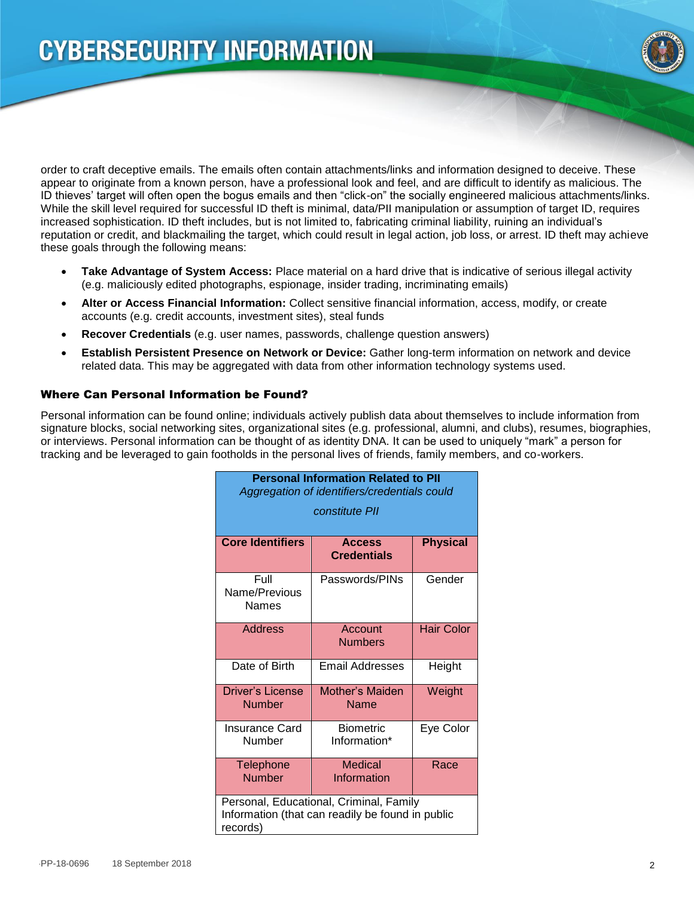

order to craft deceptive emails. The emails often contain attachments/links and information designed to deceive. These appear to originate from a known person, have a professional look and feel, and are difficult to identify as malicious. The ID thieves' target will often open the bogus emails and then "click-on" the socially engineered malicious attachments/links. While the skill level required for successful ID theft is minimal, data/PII manipulation or assumption of target ID, requires increased sophistication. ID theft includes, but is not limited to, fabricating criminal liability, ruining an individual's reputation or credit, and blackmailing the target, which could result in legal action, job loss, or arrest. ID theft may achieve these goals through the following means:

- **Take Advantage of System Access:** Place material on a hard drive that is indicative of serious illegal activity (e.g. maliciously edited photographs, espionage, insider trading, incriminating emails)
- **Alter or Access Financial Information:** Collect sensitive financial information, access, modify, or create accounts (e.g. credit accounts, investment sites), steal funds
- **Recover Credentials** (e.g. user names, passwords, challenge question answers)
- **Establish Persistent Presence on Network or Device:** Gather long-term information on network and device related data. This may be aggregated with data from other information technology systems used.

#### Where Can Personal Information be Found?

Personal information can be found online; individuals actively publish data about themselves to include information from signature blocks, social networking sites, organizational sites (e.g. professional, alumni, and clubs), resumes, biographies, or interviews. Personal information can be thought of as identity DNA. It can be used to uniquely "mark" a person for tracking and be leveraged to gain footholds in the personal lives of friends, family members, and co-workers.

| <b>Personal Information Related to PII</b><br>Aggregation of identifiers/credentials could              |                                     |                   |
|---------------------------------------------------------------------------------------------------------|-------------------------------------|-------------------|
| constitute PII                                                                                          |                                     |                   |
| <b>Core Identifiers</b>                                                                                 | <b>Access</b><br><b>Credentials</b> | <b>Physical</b>   |
| Full<br>Name/Previous<br><b>Names</b>                                                                   | Passwords/PINs                      | Gender            |
| <b>Address</b>                                                                                          | Account<br><b>Numbers</b>           | <b>Hair Color</b> |
| Date of Birth                                                                                           | <b>Email Addresses</b>              | Height            |
| <b>Driver's License</b><br><b>Number</b>                                                                | Mother's Maiden<br><b>Name</b>      | Weight            |
| Insurance Card<br>Number                                                                                | <b>Biometric</b><br>Information*    | Eye Color         |
| Telephone<br>Number                                                                                     | Medical<br>Information              | Race              |
| Personal, Educational, Criminal, Family<br>Information (that can readily be found in public<br>records) |                                     |                   |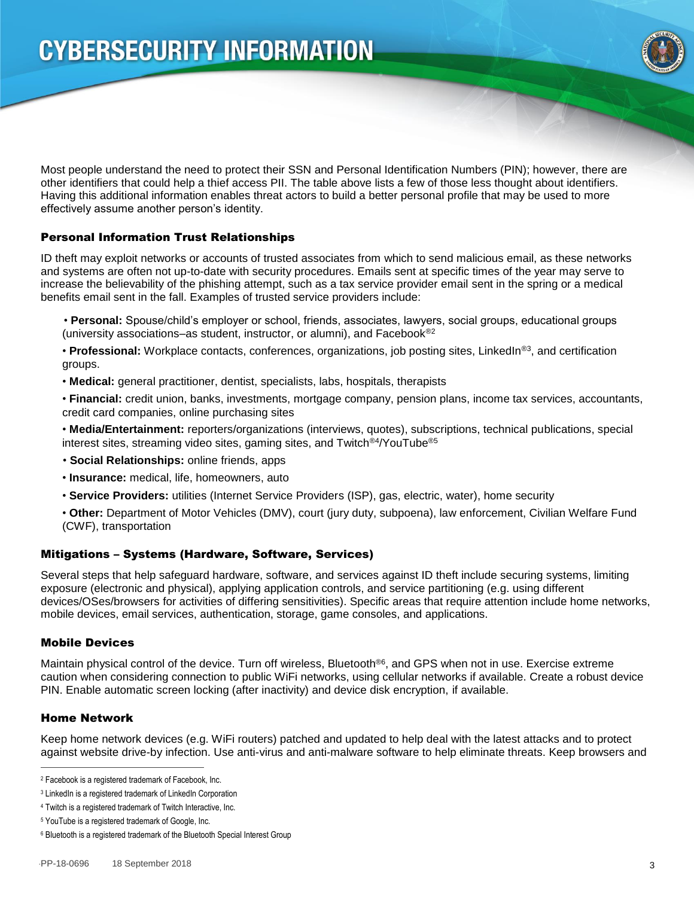

Most people understand the need to protect their SSN and Personal Identification Numbers (PIN); however, there are other identifiers that could help a thief access PII. The table above lists a few of those less thought about identifiers. Having this additional information enables threat actors to build a better personal profile that may be used to more effectively assume another person's identity.

#### Personal Information Trust Relationships

ID theft may exploit networks or accounts of trusted associates from which to send malicious email, as these networks and systems are often not up-to-date with security procedures. Emails sent at specific times of the year may serve to increase the believability of the phishing attempt, such as a tax service provider email sent in the spring or a medical benefits email sent in the fall. Examples of trusted service providers include:

 • **Personal:** Spouse/child's employer or school, friends, associates, lawyers, social groups, educational groups (university associations–as student, instructor, or alumni), and Facebook®2

• Professional: Workplace contacts, conferences, organizations, job posting sites, LinkedIn<sup>®3</sup>, and certification groups.

• **Medical:** general practitioner, dentist, specialists, labs, hospitals, therapists

• **Financial:** credit union, banks, investments, mortgage company, pension plans, income tax services, accountants, credit card companies, online purchasing sites

• **Media/Entertainment:** reporters/organizations (interviews, quotes), subscriptions, technical publications, special interest sites, streaming video sites, gaming sites, and Twitch<sup>®4</sup>/YouTube<sup>®5</sup>

• **Social Relationships:** online friends, apps

- **Insurance:** medical, life, homeowners, auto
- **Service Providers:** utilities (Internet Service Providers (ISP), gas, electric, water), home security
- **Other:** Department of Motor Vehicles (DMV), court (jury duty, subpoena), law enforcement, Civilian Welfare Fund (CWF), transportation

#### Mitigations – Systems (Hardware, Software, Services)

Several steps that help safeguard hardware, software, and services against ID theft include securing systems, limiting exposure (electronic and physical), applying application controls, and service partitioning (e.g. using different devices/OSes/browsers for activities of differing sensitivities). Specific areas that require attention include home networks, mobile devices, email services, authentication, storage, game consoles, and applications.

#### Mobile Devices

Maintain physical control of the device. Turn off wireless, Bluetooth®6 , and GPS when not in use. Exercise extreme caution when considering connection to public WiFi networks, using cellular networks if available. Create a robust device PIN. Enable automatic screen locking (after inactivity) and device disk encryption, if available.

#### Home Network

 $\overline{a}$ 

Keep home network devices (e.g. WiFi routers) patched and updated to help deal with the latest attacks and to protect against website drive-by infection. Use anti-virus and anti-malware software to help eliminate threats. Keep browsers and

<sup>2</sup> Facebook is a registered trademark of Facebook, Inc.

<sup>&</sup>lt;sup>3</sup> LinkedIn is a registered trademark of LinkedIn Corporation

<sup>4</sup> Twitch is a registered trademark of Twitch Interactive, Inc.

<sup>5</sup> YouTube is a registered trademark of Google, Inc.

<sup>6</sup> Bluetooth is a registered trademark of the Bluetooth Special Interest Group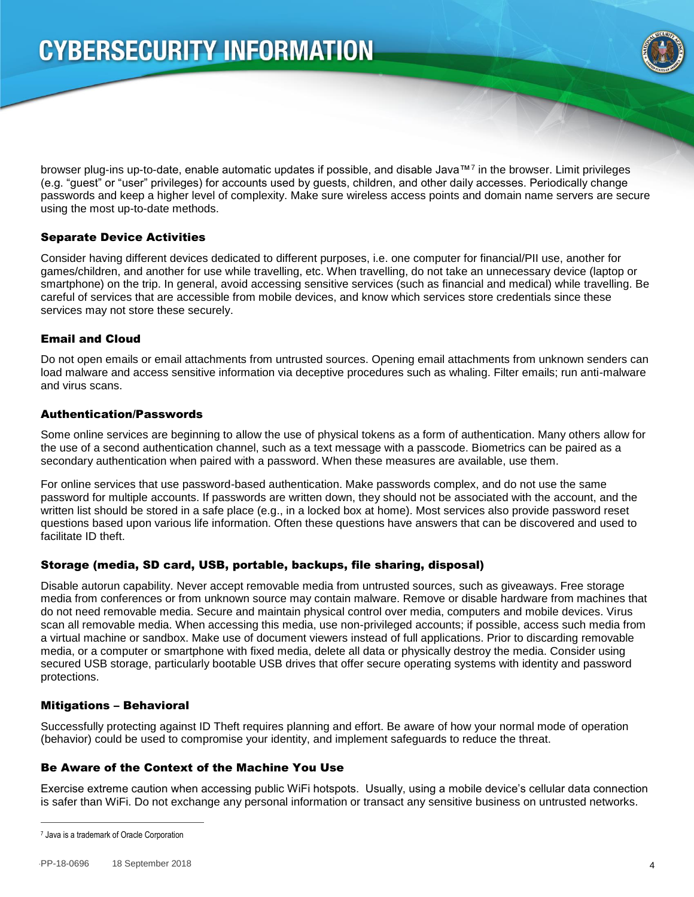

browser plug-ins up-to-date, enable automatic updates if possible, and disable Java™<sup>7</sup> in the browser. Limit privileges (e.g. "guest" or "user" privileges) for accounts used by guests, children, and other daily accesses. Periodically change passwords and keep a higher level of complexity. Make sure wireless access points and domain name servers are secure using the most up-to-date methods.

#### Separate Device Activities

Consider having different devices dedicated to different purposes, i.e. one computer for financial/PII use, another for games/children, and another for use while travelling, etc. When travelling, do not take an unnecessary device (laptop or smartphone) on the trip. In general, avoid accessing sensitive services (such as financial and medical) while travelling. Be careful of services that are accessible from mobile devices, and know which services store credentials since these services may not store these securely.

#### Email and Cloud

Do not open emails or email attachments from untrusted sources. Opening email attachments from unknown senders can load malware and access sensitive information via deceptive procedures such as whaling. Filter emails; run anti-malware and virus scans.

#### Authentication/Passwords

Some online services are beginning to allow the use of physical tokens as a form of authentication. Many others allow for the use of a second authentication channel, such as a text message with a passcode. Biometrics can be paired as a secondary authentication when paired with a password. When these measures are available, use them.

For online services that use password-based authentication. Make passwords complex, and do not use the same password for multiple accounts. If passwords are written down, they should not be associated with the account, and the written list should be stored in a safe place (e.g., in a locked box at home). Most services also provide password reset questions based upon various life information. Often these questions have answers that can be discovered and used to facilitate ID theft.

#### Storage (media, SD card, USB, portable, backups, file sharing, disposal)

Disable autorun capability. Never accept removable media from untrusted sources, such as giveaways. Free storage media from conferences or from unknown source may contain malware. Remove or disable hardware from machines that do not need removable media. Secure and maintain physical control over media, computers and mobile devices. Virus scan all removable media. When accessing this media, use non-privileged accounts; if possible, access such media from a virtual machine or sandbox. Make use of document viewers instead of full applications. Prior to discarding removable media, or a computer or smartphone with fixed media, delete all data or physically destroy the media. Consider using secured USB storage, particularly bootable USB drives that offer secure operating systems with identity and password protections.

#### Mitigations – Behavioral

Successfully protecting against ID Theft requires planning and effort. Be aware of how your normal mode of operation (behavior) could be used to compromise your identity, and implement safeguards to reduce the threat.

#### Be Aware of the Context of the Machine You Use

Exercise extreme caution when accessing public WiFi hotspots. Usually, using a mobile device's cellular data connection is safer than WiFi. Do not exchange any personal information or transact any sensitive business on untrusted networks.

 $\overline{a}$ 

<sup>7</sup> Java is a trademark of Oracle Corporation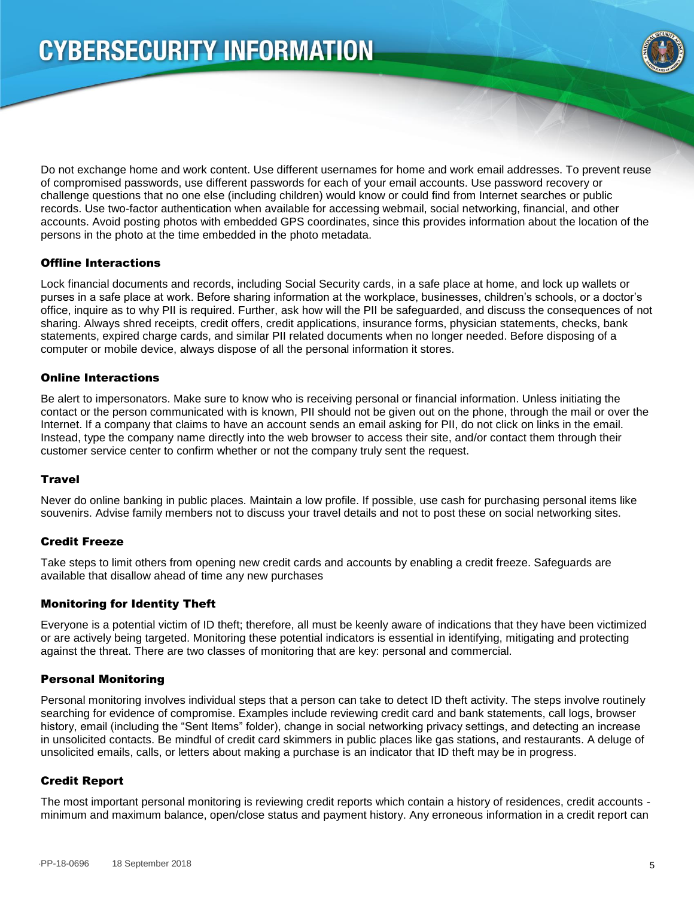

Do not exchange home and work content. Use different usernames for home and work email addresses. To prevent reuse of compromised passwords, use different passwords for each of your email accounts. Use password recovery or challenge questions that no one else (including children) would know or could find from Internet searches or public records. Use two-factor authentication when available for accessing webmail, social networking, financial, and other accounts. Avoid posting photos with embedded GPS coordinates, since this provides information about the location of the persons in the photo at the time embedded in the photo metadata.

#### Offline Interactions

Lock financial documents and records, including Social Security cards, in a safe place at home, and lock up wallets or purses in a safe place at work. Before sharing information at the workplace, businesses, children's schools, or a doctor's office, inquire as to why PII is required. Further, ask how will the PII be safeguarded, and discuss the consequences of not sharing. Always shred receipts, credit offers, credit applications, insurance forms, physician statements, checks, bank statements, expired charge cards, and similar PII related documents when no longer needed. Before disposing of a computer or mobile device, always dispose of all the personal information it stores.

#### Online Interactions

Be alert to impersonators. Make sure to know who is receiving personal or financial information. Unless initiating the contact or the person communicated with is known, PII should not be given out on the phone, through the mail or over the Internet. If a company that claims to have an account sends an email asking for PII, do not click on links in the email. Instead, type the company name directly into the web browser to access their site, and/or contact them through their customer service center to confirm whether or not the company truly sent the request.

#### **Travel**

Never do online banking in public places. Maintain a low profile. If possible, use cash for purchasing personal items like souvenirs. Advise family members not to discuss your travel details and not to post these on social networking sites.

#### Credit Freeze

Take steps to limit others from opening new credit cards and accounts by enabling a credit freeze. Safeguards are available that disallow ahead of time any new purchases

#### Monitoring for Identity Theft

Everyone is a potential victim of ID theft; therefore, all must be keenly aware of indications that they have been victimized or are actively being targeted. Monitoring these potential indicators is essential in identifying, mitigating and protecting against the threat. There are two classes of monitoring that are key: personal and commercial.

#### Personal Monitoring

Personal monitoring involves individual steps that a person can take to detect ID theft activity. The steps involve routinely searching for evidence of compromise. Examples include reviewing credit card and bank statements, call logs, browser history, email (including the "Sent Items" folder), change in social networking privacy settings, and detecting an increase in unsolicited contacts. Be mindful of credit card skimmers in public places like gas stations, and restaurants. A deluge of unsolicited emails, calls, or letters about making a purchase is an indicator that ID theft may be in progress.

#### Credit Report

The most important personal monitoring is reviewing credit reports which contain a history of residences, credit accounts minimum and maximum balance, open/close status and payment history. Any erroneous information in a credit report can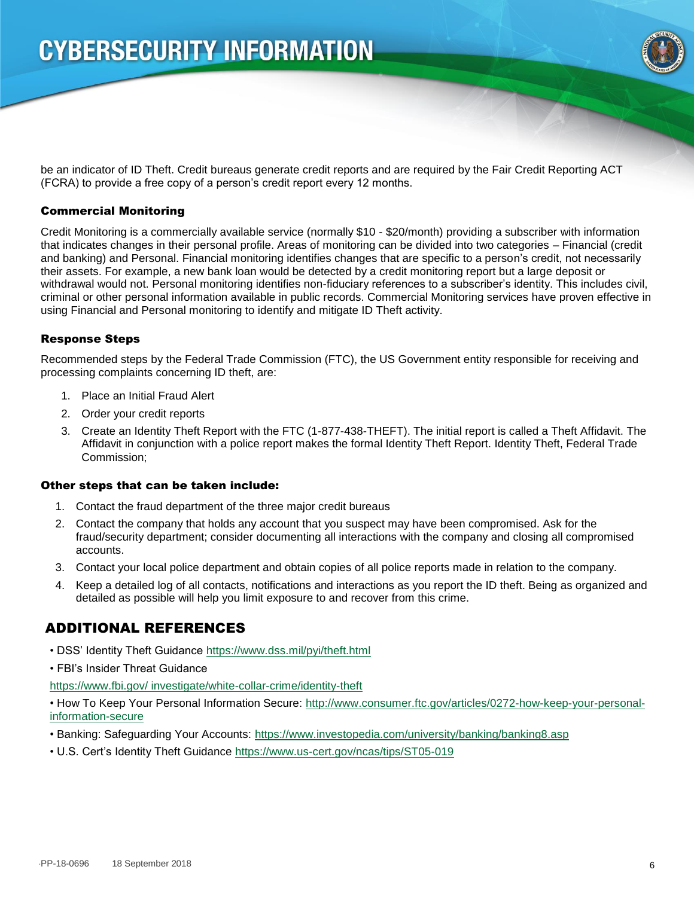

be an indicator of ID Theft. Credit bureaus generate credit reports and are required by the Fair Credit Reporting ACT (FCRA) to provide a free copy of a person's credit report every 12 months.

#### Commercial Monitoring

Credit Monitoring is a commercially available service (normally \$10 - \$20/month) providing a subscriber with information that indicates changes in their personal profile. Areas of monitoring can be divided into two categories – Financial (credit and banking) and Personal. Financial monitoring identifies changes that are specific to a person's credit, not necessarily their assets. For example, a new bank loan would be detected by a credit monitoring report but a large deposit or withdrawal would not. Personal monitoring identifies non-fiduciary references to a subscriber's identity. This includes civil, criminal or other personal information available in public records. Commercial Monitoring services have proven effective in using Financial and Personal monitoring to identify and mitigate ID Theft activity.

#### Response Steps

Recommended steps by the Federal Trade Commission (FTC), the US Government entity responsible for receiving and processing complaints concerning ID theft, are:

- 1. Place an Initial Fraud Alert
- 2. Order your credit reports
- 3. Create an Identity Theft Report with the FTC (1-877-438-THEFT). The initial report is called a Theft Affidavit. The Affidavit in conjunction with a police report makes the formal Identity Theft Report. Identity Theft, Federal Trade Commission;

#### Other steps that can be taken include:

- 1. Contact the fraud department of the three major credit bureaus
- 2. Contact the company that holds any account that you suspect may have been compromised. Ask for the fraud/security department; consider documenting all interactions with the company and closing all compromised accounts.
- 3. Contact your local police department and obtain copies of all police reports made in relation to the company.
- 4. Keep a detailed log of all contacts, notifications and interactions as you report the ID theft. Being as organized and detailed as possible will help you limit exposure to and recover from this crime.

### ADDITIONAL REFERENCES

- DSS' Identity Theft Guidance https://www.dss.mil/pyi/theft.html
- FBI's Insider Threat Guidance

https://www.fbi.gov/ investigate/white-collar-crime/identity-theft

• How To Keep Your Personal Information Secure: http://www.consumer.ftc.gov/articles/0272-how-keep-your-personalinformation-secure

- Banking: Safeguarding Your Accounts: https://www.investopedia.com/university/banking/banking8.asp
- U.S. Cert's Identity Theft Guidance https://www.us-cert.gov/ncas/tips/ST05-019